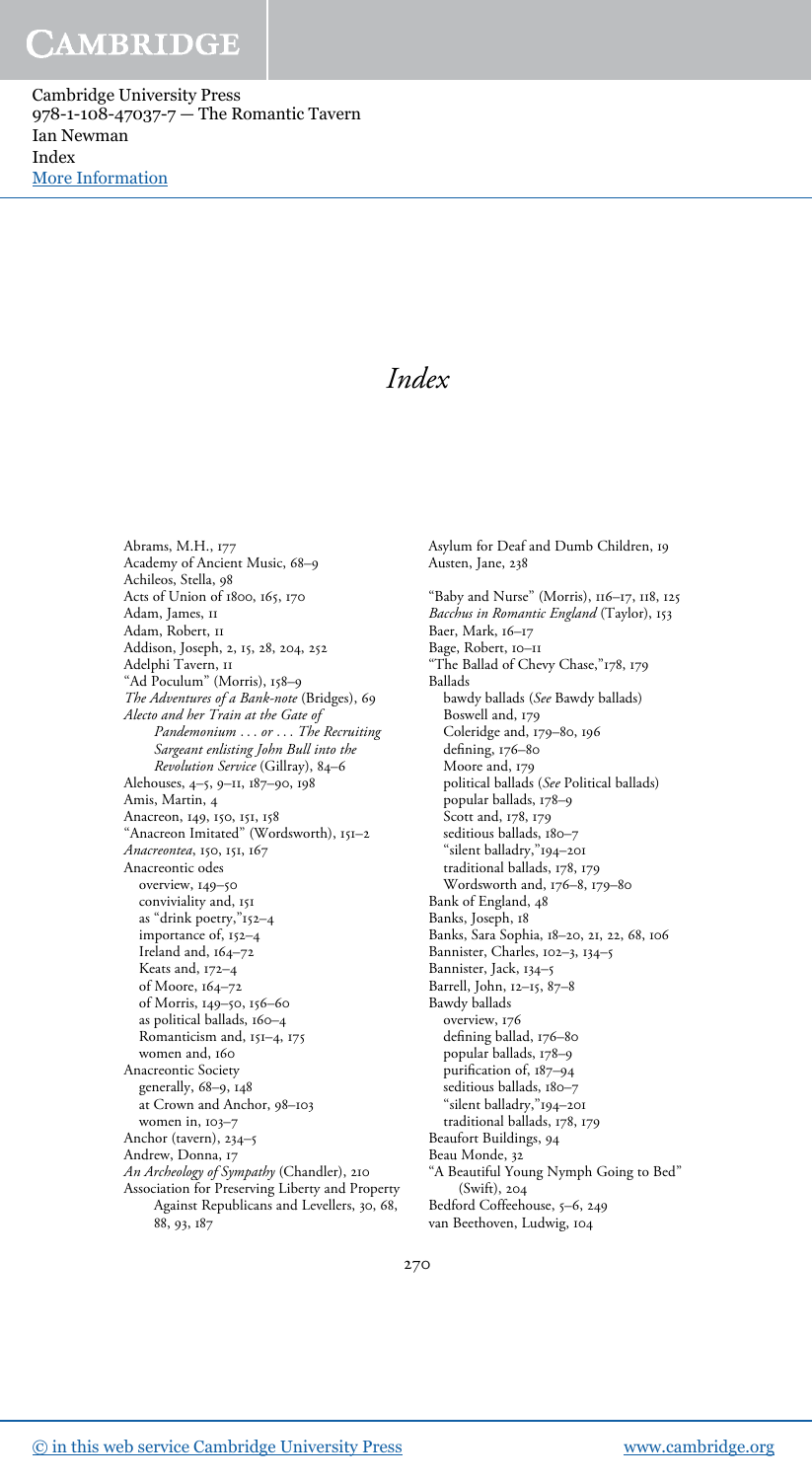Cambridge University Press 978-1-108-47037-7 — The Romantic Tavern Ian Newman Index [More Information](www.cambridge.org/9781108470377)

### *Index*

Abrams, M.H., 177 Academy of Ancient Music, 68–9 Achileos, Stella, 98 Acts of Union of 1800, 165, 170 Adam, James, 11 Adam, Robert, 11 Addison, Joseph, 2, 15, 28, 204, 252 Adelphi Tavern, II "Ad Poculum" (Morris), 158–9 *The Adventures of a Bank-note* (Bridges), 69 *Alecto and her Train at the Gate of Pandemonium* ... *or* ... *The Recruiting Sargeant enlisting John Bull into the Revolution Service* (Gillray), 84–6 Alehouses, 4–5, 9–11, 187–90, 198 Amis, Martin, 4 Anacreon, 149, 150, 151, 158 "Anacreon Imitated" (Wordsworth), 151–2 *Anacreontea*, 150, 151, 167 Anacreontic odes overview, 149–50 conviviality and, 151 as "drink poetry,"152–4 importance of, 152–4 Ireland and, 164–72 Keats and, 172–4 of Moore, 164–72 of Morris, 149–50, 156–60 as political ballads, 160–4 Romanticism and, 151–4, 175 women and, 160 Anacreontic Society generally, 68–9, 148 at Crown and Anchor, 98–103 women in, 103–7 Anchor (tavern), 234–5 Andrew, Donna, 17 *An Archeology of Sympathy* (Chandler), 210 Association for Preserving Liberty and Property Against Republicans and Levellers, 30, 68, 88, 93, 187

Asylum for Deaf and Dumb Children, 19 Austen, Jane, 238

"Baby and Nurse" (Morris), 116–17, 118, 125 *Bacchus in Romantic England* (Taylor), 153 Baer, Mark, 16–17 Bage, Robert, 10–11 "The Ballad of Chevy Chase,"178, 179 Ballads bawdy ballads (*See* Bawdy ballads) Boswell and, 179 Coleridge and, 179–80, 196 defining, 176–80 Moore and, 179 political ballads (*See* Political ballads) popular ballads, 178–9 Scott and, 178, 179 seditious ballads, 180-7 "silent balladry,"194–201 traditional ballads, 178, 179 Wordsworth and, 176–8, 179–80 Bank of England, 48 Banks, Joseph, 18 Banks, Sara Sophia, 18–20, 21, 22, 68, 106 Bannister, Charles, 102–3, 134–5 Bannister, Jack, 134–5 Barrell, John, 12–15, 87–8 Bawdy ballads overview, 176 defining ballad, 176–80 popular ballads, 178–9 purification of, 187–94 seditious ballads, 180–7 "silent balladry,"194–201 traditional ballads, 178, 179 Beaufort Buildings, 94 Beau Monde, 32 "A Beautiful Young Nymph Going to Bed" (Swift), 204 Bedford Coffeehouse, 5–6, 249 van Beethoven, Ludwig, 104

270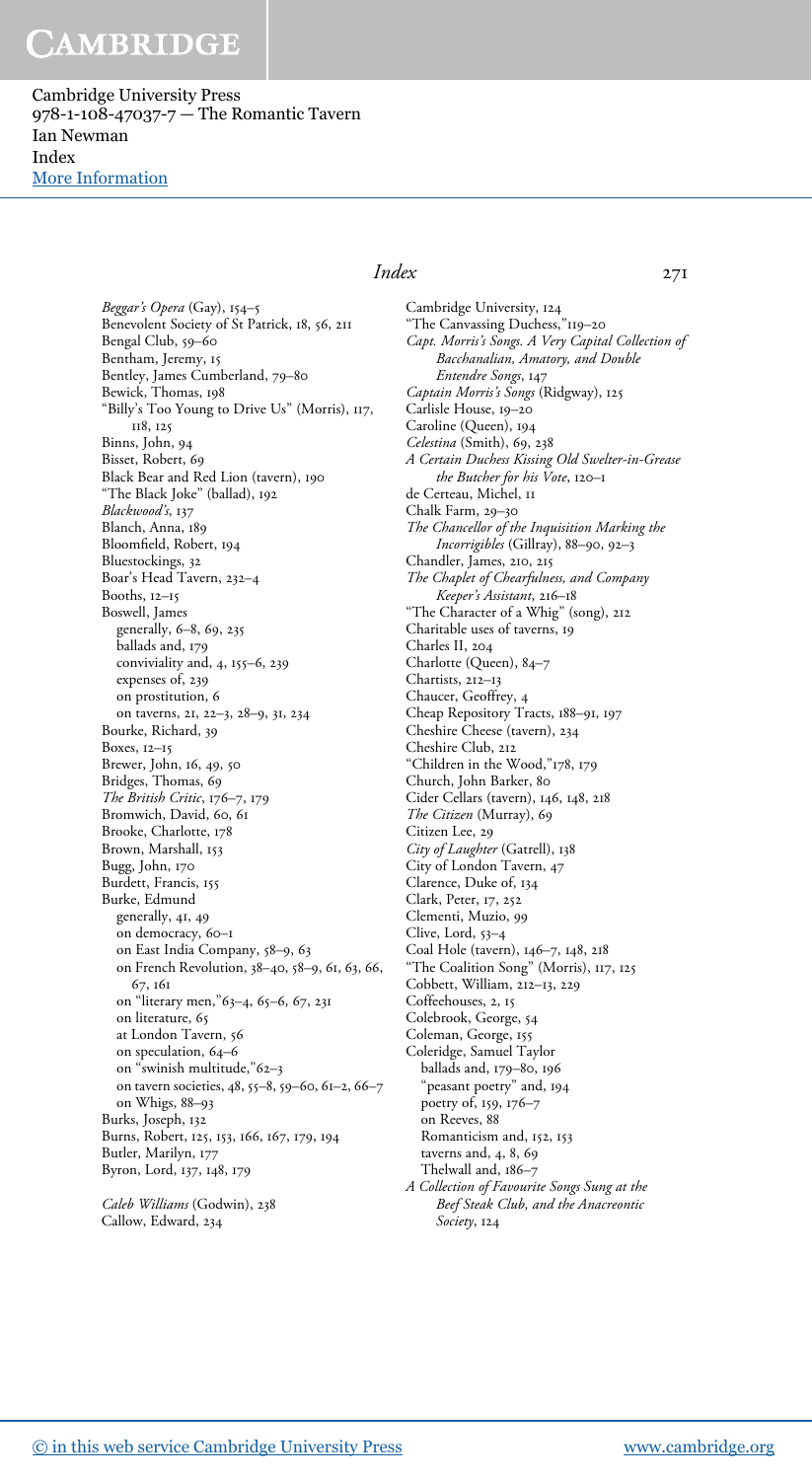Cambridge University Press 978-1-108-47037-7 — The Romantic Tavern Ian Newman Index [More Information](www.cambridge.org/9781108470377)

> *Beggar*'*s Opera* (Gay), 154–5 Benevolent Society of St Patrick, 18, 56, 211 Bengal Club, 59–60 Bentham, Jeremy, 15 Bentley, James Cumberland, 79–80 Bewick, Thomas, 198 "Billy's Too Young to Drive Us" (Morris), 117, 118, 125 Binns, John, 94 Bisset, Robert, 69 Black Bear and Red Lion (tavern), 190 "The Black Joke" (ballad), 192 *Blackwood*'*s*, 137 Blanch, Anna, 189 Bloomfield, Robert, 194 Bluestockings, 32 Boar's Head Tavern, 232–4 Booths, 12–15 Boswell, James generally, 6–8, 69, 235 ballads and, 179 conviviality and, 4, 155–6, 239 expenses of, 239 on prostitution, 6 on taverns, 21, 22–3, 28–9, 31, 234 Bourke, Richard, 39 Boxes, 12–15 Brewer, John, 16, 49, 50 Bridges, Thomas, 69 *The British Critic*, 176–7, 179 Bromwich, David, 60, 61 Brooke, Charlotte, 178 Brown, Marshall, 153 Bugg, John, 170 Burdett, Francis, 155 Burke, Edmund generally, 41, 49 on democracy, 60–1 on East India Company, 58–9, 63 on French Revolution, 38–40, 58–9, 61, 63, 66, 67, 161 on "literary men,"63–4, 65–6, 67, 231 on literature, 65 at London Tavern, 56 on speculation, 64–6 on "swinish multitude,"62–3 on tavern societies, 48, 55–8, 59–60, 61–2, 66–7 on Whigs, 88–93 Burks, Joseph, 132 Burns, Robert, 125, 153, 166, 167, 179, 194 Butler, Marilyn, 177 Byron, Lord, 137, 148, 179 *Caleb Williams* (Godwin), 238

# *Index* 271

Cambridge University, 124 "The Canvassing Duchess,"119–20 *Capt. Morris*'*s Songs. A Very Capital Collection of Bacchanalian, Amatory, and Double Entendre Songs*, 147 *Captain Morris*'*s Songs* (Ridgway), 125 Carlisle House, 19–20 Caroline (Queen), 194 *Celestina* (Smith), 69, 238 *A Certain Duchess Kissing Old Swelter-in-Grease the Butcher for his Vote*, 120–1 de Certeau, Michel, 11 Chalk Farm, 29–30 *The Chancellor of the Inquisition Marking the Incorrigibles* (Gillray), 88–90, 92–3 Chandler, James, 210, 215 *The Chaplet of Chearfulness, and Company Keeper*'*s Assistant*, 216–18 "The Character of a Whig" (song), 212 Charitable uses of taverns, 19 Charles II, 204 Charlotte (Queen), 84–7 Chartists, 212–13 Chaucer, Geoffrey, 4 Cheap Repository Tracts, 188–91, 197 Cheshire Cheese (tavern), 234 Cheshire Club, 212 "Children in the Wood,"178, 179 Church, John Barker, 80 Cider Cellars (tavern), 146, 148, 218 *The Citizen* (Murray), 69 Citizen Lee, 29 *City of Laughter* (Gatrell), 138 City of London Tavern, 47 Clarence, Duke of, 134 Clark, Peter, 17, 252 Clementi, Muzio, 99 Clive, Lord, 53–4 Coal Hole (tavern), 146–7, 148, 218 "The Coalition Song" (Morris), 117, 125 Cobbett, William, 212–13, 229 Coffeehouses, 2, 15 Colebrook, George, 54 Coleman, George, 155 Coleridge, Samuel Taylor ballads and, 179–80, 196 "peasant poetry" and, 194 poetry of, 159, 176–7 on Reeves, 88 Romanticism and, 152, 153 taverns and, 4, 8, 69 Thelwall and, 186–7 *A Collection of Favourite Songs Sung at the Beef Steak Club, and the Anacreontic Society*, 124

Callow, Edward, 234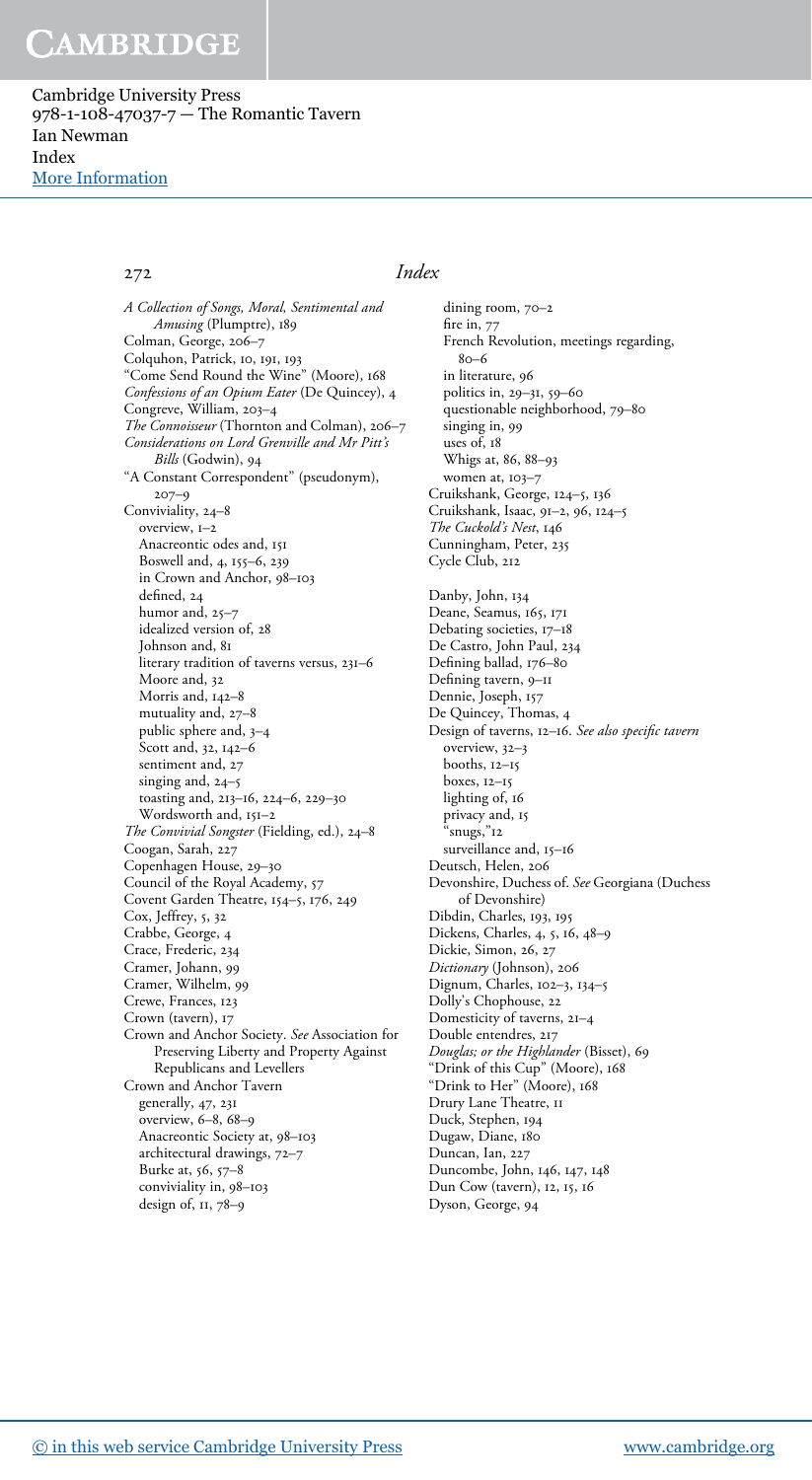Cambridge University Press 978-1-108-47037-7 — The Romantic Tavern Ian Newman Index [More Information](www.cambridge.org/9781108470377)

*A Collection of Songs, Moral, Sentimental and Amusing* (Plumptre), 189 Colman, George, 206–7 Colquhon, Patrick, 10, 191, 193 "Come Send Round the Wine" (Moore), 168 *Confessions of an Opium Eater* (De Quincey), 4 Congreve, William, 203–4 *The Connoisseur* (Thornton and Colman), 206–7 *Considerations on Lord Grenville and Mr Pitt*'*s Bills* (Godwin), 94 "A Constant Correspondent" (pseudonym), 207–9 Conviviality, 24–8 overview, 1–2 Anacreontic odes and, 151 Boswell and, 4, 155–6, 239 in Crown and Anchor, 98–103 defined, 24 humor and, 25-7 idealized version of, 28 Johnson and, 81 literary tradition of taverns versus, 231–6 Moore and, 32 Morris and, 142–8 mutuality and, 27–8 public sphere and, 3–4 Scott and, 32, 142–6 sentiment and, 27 singing and, 24–5 toasting and, 213–16, 224–6, 229–30 Wordsworth and, 151-2 *The Convivial Songster* (Fielding, ed.), 24–8 Coogan, Sarah, 227 Copenhagen House, 29–30 Council of the Royal Academy, 57 Covent Garden Theatre, 154–5, 176, 249 Cox, Jeffrey, 5, 32 Crabbe, George, 4 Crace, Frederic, 234 Cramer, Johann, 99 Cramer, Wilhelm, 99 Crewe, Frances, 123 Crown (tavern), 17 Crown and Anchor Society. *See* Association for Preserving Liberty and Property Against Republicans and Levellers Crown and Anchor Tavern generally, 47, 231 overview, 6–8, 68–9 Anacreontic Society at, 98–103 architectural drawings, 72–7 Burke at, 56, 57–8 conviviality in, 98–103 design of, 11, 78–9

### 272 *Index*

dining room, 70–2 fire in,  $77$ French Revolution, meetings regarding, 80–6 in literature, 96 politics in, 29–31, 59–60 questionable neighborhood, 79–80 singing in, 99 uses of, 18 Whigs at, 86, 88–93 women at, 103-7 Cruikshank, George, 124–5, 136 Cruikshank, Isaac, 91–2, 96, 124–5 *The Cuckold*'*s Nest*, 146 Cunningham, Peter, 235 Cycle Club, 212 Danby, John, 134 Deane, Seamus, 165, 171 Debating societies, 17–18 De Castro, John Paul, 234 Defining ballad, 176–80 Defining tavern, 9–11 Dennie, Joseph, 157 De Quincey, Thomas, 4 Design of taverns, 12–16. *See also speci*fi*c tavern* overview, 32–3 booths, 12–15 boxes, 12–15 lighting of, 16 privacy and, 15 "snugs,"12 surveillance and, 15-16 Deutsch, Helen, 206 Devonshire, Duchess of. *See* Georgiana (Duchess of Devonshire) Dibdin, Charles, 193, 195 Dickens, Charles, 4, 5, 16, 48–9 Dickie, Simon, 26, 27 *Dictionary* (Johnson), 206 Dignum, Charles, 102–3, 134–5 Dolly's Chophouse, 22 Domesticity of taverns, 21–4 Double entendres, 217 *Douglas; or the Highlander* (Bisset), 69 "Drink of this Cup" (Moore), 168 "Drink to Her" (Moore), 168 Drury Lane Theatre, 11 Duck, Stephen, 194 Dugaw, Diane, 180 Duncan, Ian, 227 Duncombe, John, 146, 147, 148 Dun Cow (tavern), 12, 15, 16

Dyson, George, 94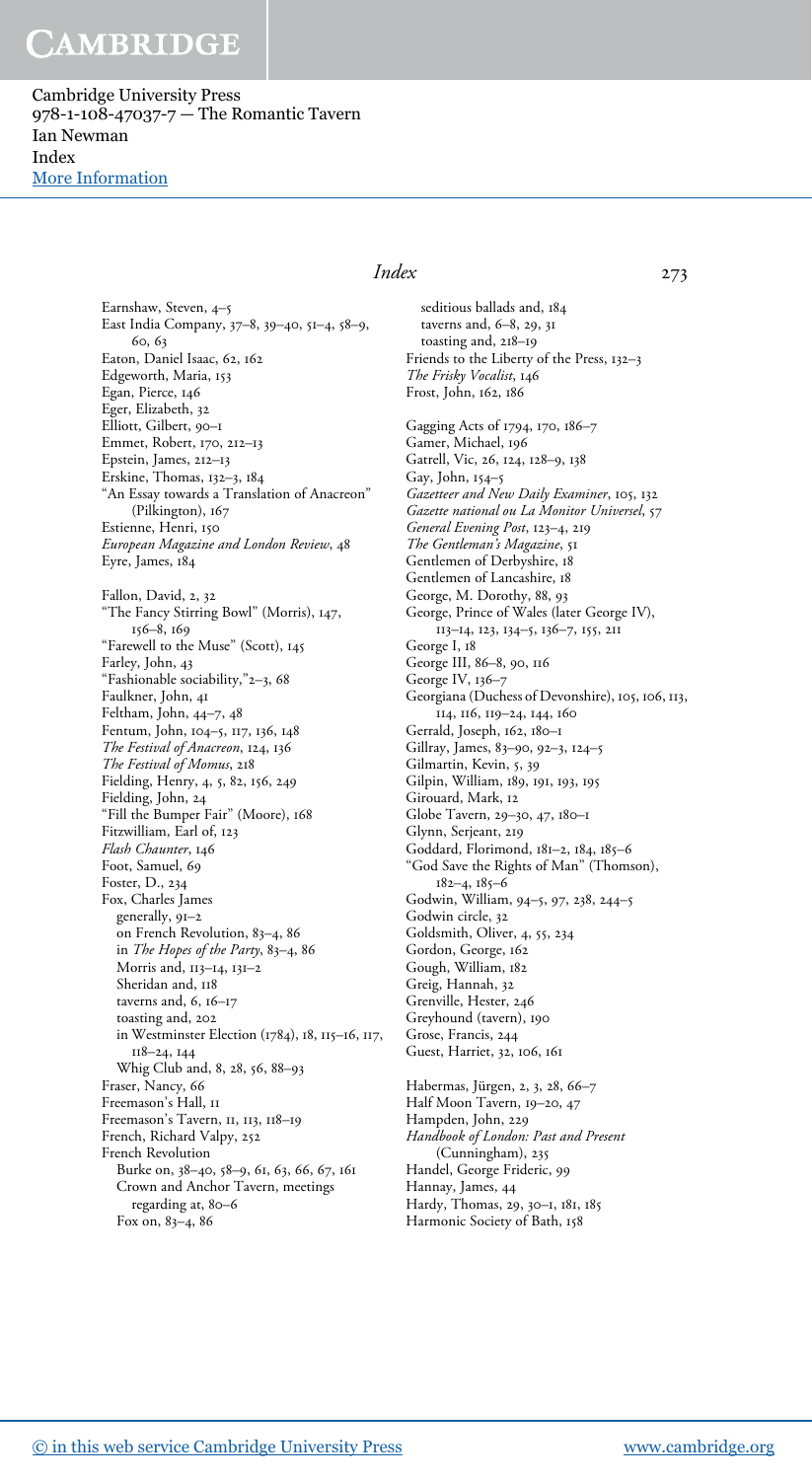Cambridge University Press 978-1-108-47037-7 — The Romantic Tavern Ian Newman Index [More Information](www.cambridge.org/9781108470377)

> Earnshaw, Steven, 4–5 East India Company, 37–8, 39–40, 51–4, 58–9, 60, 63 Eaton, Daniel Isaac, 62, 162 Edgeworth, Maria, 153 Egan, Pierce, 146 Eger, Elizabeth, 32 Elliott, Gilbert, 90–1 Emmet, Robert, 170, 212–13 Epstein, James, 212–13 Erskine, Thomas, 132–3, 184 "An Essay towards a Translation of Anacreon" (Pilkington), 167 Estienne, Henri, 150 *European Magazine and London Review*, 48 Eyre, James, 184 Fallon, David, 2, 32 "The Fancy Stirring Bowl" (Morris), 147, 156–8, 169 "Farewell to the Muse" (Scott), 145 Farley, John, 43 "Fashionable sociability,"2–3, 68 Faulkner, John, 41 Feltham, John, 44–7, 48 Fentum, John, 104–5, 117, 136, 148 *The Festival of Anacreon*, 124, 136 *The Festival of Momus*, 218 Fielding, Henry, 4, 5, 82, 156, 249 Fielding, John, 24 "Fill the Bumper Fair" (Moore), 168 Fitzwilliam, Earl of, 123 *Flash Chaunter*, 146 Foot, Samuel, 69 Foster, D., 234 Fox, Charles James generally, 91–2 on French Revolution, 83–4, 86 in *The Hopes of the Party*, 83–4, 86 Morris and, 113–14, 131–2 Sheridan and, 118 taverns and,  $6, 16-17$ toasting and, 202 in Westminster Election (1784), 18, 115–16, 117, 118–24, 144 Whig Club and, 8, 28, 56, 88–93 Fraser, Nancy, 66 Freemason's Hall, II Freemason's Tavern, 11, 113, 118–19 French, Richard Valpy, 252 French Revolution Burke on, 38–40, 58–9, 61, 63, 66, 67, 161 Crown and Anchor Tavern, meetings regarding at, 80–6 Fox on, 83–4, 86

#### *Index* 273

seditious ballads and, 184 taverns and, 6–8, 29, 31 toasting and, 218–19 Friends to the Liberty of the Press, 132–3 *The Frisky Vocalist*, 146 Frost, John, 162, 186 Gagging Acts of 1794, 170, 186–7 Gamer, Michael, 196 Gatrell, Vic, 26, 124, 128–9, 138 Gay, John, 154–5 *Gazetteer and New Daily Examiner*, 105, 132 *Gazette national ou La Monitor Universel*, 57 *General Evening Post*, 123–4, 219 *The Gentleman*'*s Magazine*, 51 Gentlemen of Derbyshire, 18 Gentlemen of Lancashire, 18 George, M. Dorothy, 88, 93 George, Prince of Wales (later George IV), 113–14, 123, 134–5, 136–7, 155, 211 George I, 18 George III, 86–8, 90, 116 George IV, 136–7 Georgiana (Duchess of Devonshire), 105, 106, 113, 114, 116, 119–24, 144, 160 Gerrald, Joseph, 162, 180–1 Gillray, James, 83–90, 92–3, 124–5 Gilmartin, Kevin, 5, 39 Gilpin, William, 189, 191, 193, 195 Girouard, Mark, 12 Globe Tavern, 29–30, 47, 180–1 Glynn, Serjeant, 219 Goddard, Florimond, 181–2, 184, 185–6 "God Save the Rights of Man" (Thomson), 182–4, 185–6 Godwin, William, 94–5, 97, 238, 244–5 Godwin circle, 32 Goldsmith, Oliver, 4, 55, 234 Gordon, George, 162 Gough, William, 182 Greig, Hannah, 32 Grenville, Hester, 246 Greyhound (tavern), 190 Grose, Francis, 244 Guest, Harriet, 32, 106, 161 Habermas, Jürgen, 2, 3, 28, 66–7 Half Moon Tavern, 19–20, 47 Hampden, John, 229 *Handbook of London: Past and Present* (Cunningham), 235 Handel, George Frideric, 99 Hannay, James, 44 Hardy, Thomas, 29, 30–1, 181, 185 Harmonic Society of Bath, 158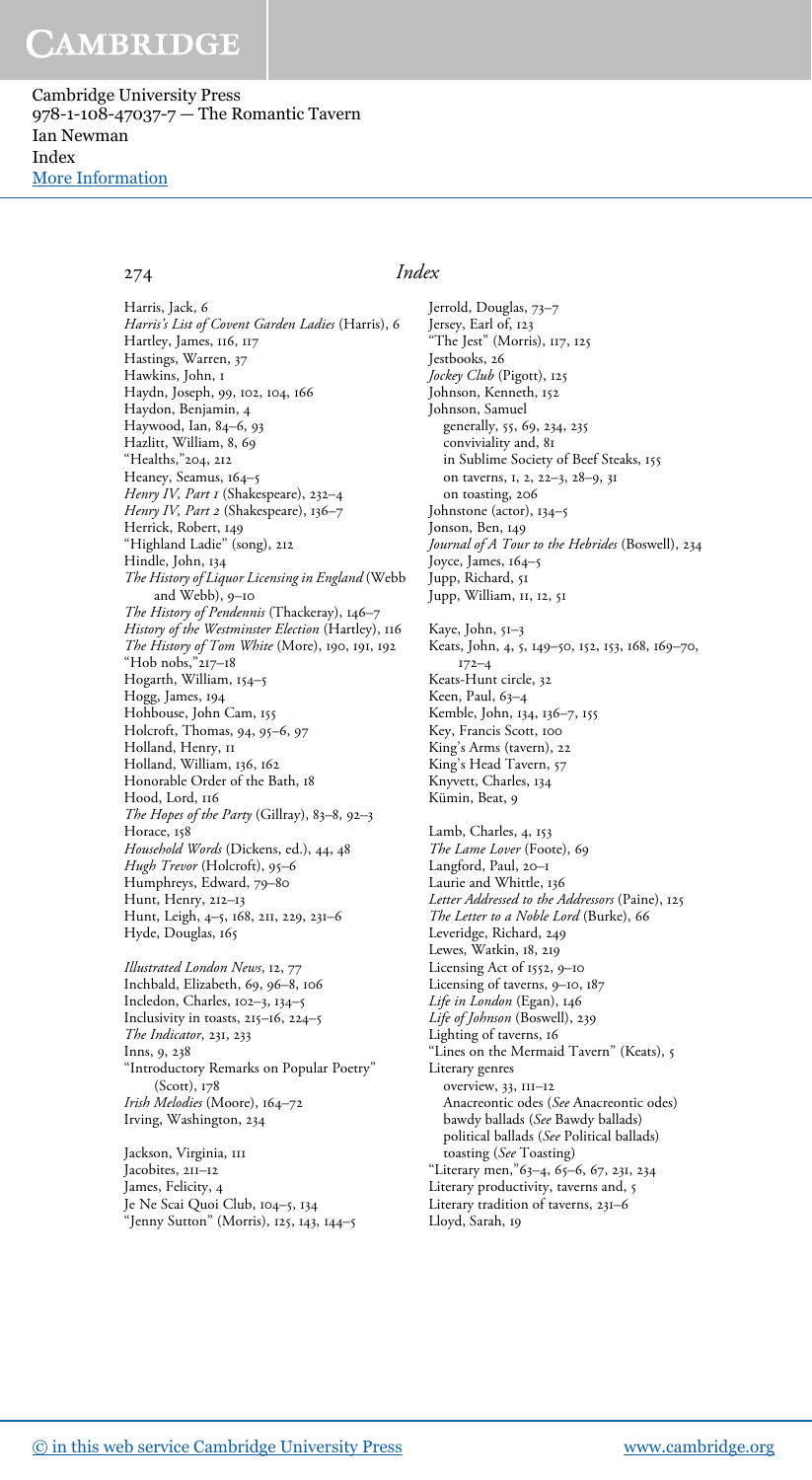Cambridge University Press 978-1-108-47037-7 — The Romantic Tavern Ian Newman Index [More Information](www.cambridge.org/9781108470377)

Harris, Jack, 6 *Harris*'*s List of Covent Garden Ladies* (Harris), 6 Hartley, James, 116, 117 Hastings, Warren, 37 Hawkins, John, 1 Haydn, Joseph, 99, 102, 104, 166 Haydon, Benjamin, 4 Haywood, Ian, 84–6, 93 Hazlitt, William, 8, 69 "Healths,"204, 212 Heaney, Seamus, 164–5 *Henry IV, Part* 1 (Shakespeare), 232–4 *Henry IV, Part* 2 (Shakespeare), 136–7 Herrick, Robert, 149 "Highland Ladie" (song), 212 Hindle, John, 134 *The History of Liquor Licensing in England* (Webb and Webb), 9–10 *The History of Pendennis* (Thackeray), 146–7 *History of the Westminster Election* (Hartley), 116 *The History of Tom White* (More), 190, 191, 192 "Hob nobs,"217–18 Hogarth, William, 154–5 Hogg, James, 194 Hohbouse, John Cam, 155 Holcroft, Thomas, 94, 95–6, 97 Holland, Henry, II Holland, William, 136, 162 Honorable Order of the Bath, 18 Hood, Lord, 116 *The Hopes of the Party* (Gillray), 83–8, 92–3 Horace, 158 *Household Words* (Dickens, ed.), 44, 48 *Hugh Trevor* (Holcroft), 95–6 Humphreys, Edward, 79–80 Hunt, Henry, 212–13 Hunt, Leigh, 4–5, 168, 211, 229, 231–6 Hyde, Douglas, 165

*Illustrated London News*, 12, 77 Inchbald, Elizabeth, 69, 96–8, 106 Incledon, Charles, 102–3, 134–5 Inclusivity in toasts, 215–16, 224–5 *The Indicator*, 231, 233 Inns, 9, 238 "Introductory Remarks on Popular Poetry" (Scott), 178 *Irish Melodies* (Moore), 164–72 Irving, Washington, 234

Jackson, Virginia, III Jacobites, 211-12 James, Felicity, 4 Je Ne Scai Quoi Club, 104–5, 134 "Jenny Sutton" (Morris), 125, 143, 144–5

#### 274 *Index*

Jerrold, Douglas, 73–7 Jersey, Earl of, 123 The Jest" (Morris), 117, 125 Jestbooks, 26 *Jockey Club* (Pigott), 125 Johnson, Kenneth, 152 Johnson, Samuel generally, 55, 69, 234, 235 conviviality and, 81 in Sublime Society of Beef Steaks, 155 on taverns, 1, 2, 22–3, 28–9, 31 on toasting, 206 Johnstone (actor), 134–5 Jonson, Ben, 149 *Journal of A Tour to the Hebrides* (Boswell), 234 Joyce, James, 164–5 Jupp, Richard, 51 Jupp, William, 11, 12, 51 Kaye, John, 51–3 Keats, John, 4, 5, 149–50, 152, 153, 168, 169–70, 172–4 Keats-Hunt circle, 32 Keen, Paul, 63–4 Kemble, John, 134, 136–7, 155 Key, Francis Scott, 100 King's Arms (tavern), 22 King's Head Tavern, 57 Knyvett, Charles, 134 Kümin, Beat, 9 Lamb, Charles, 4, 153 *The Lame Lover* (Foote), 69 Langford, Paul, 20–1 Laurie and Whittle, 136 *Letter Addressed to the Addressors* (Paine), 125 *The Letter to a Noble Lord* (Burke), 66 Leveridge, Richard, 249 Lewes, Watkin, 18, 219 Licensing Act of 1552, 9–10 Licensing of taverns, 9–10, 187 *Life in London* (Egan), 146 *Life of Johnson* (Boswell), 239 Lighting of taverns, 16 "Lines on the Mermaid Tavern" (Keats), 5 Literary genres overview, 33, 111–12 Anacreontic odes (*See* Anacreontic odes) bawdy ballads (*See* Bawdy ballads) political ballads (*See* Political ballads) toasting (*See* Toasting) "Literary men,"63–4, 65–6, 67, 231, 234 Literary productivity, taverns and, 5 Literary tradition of taverns, 231–6 Lloyd, Sarah, 19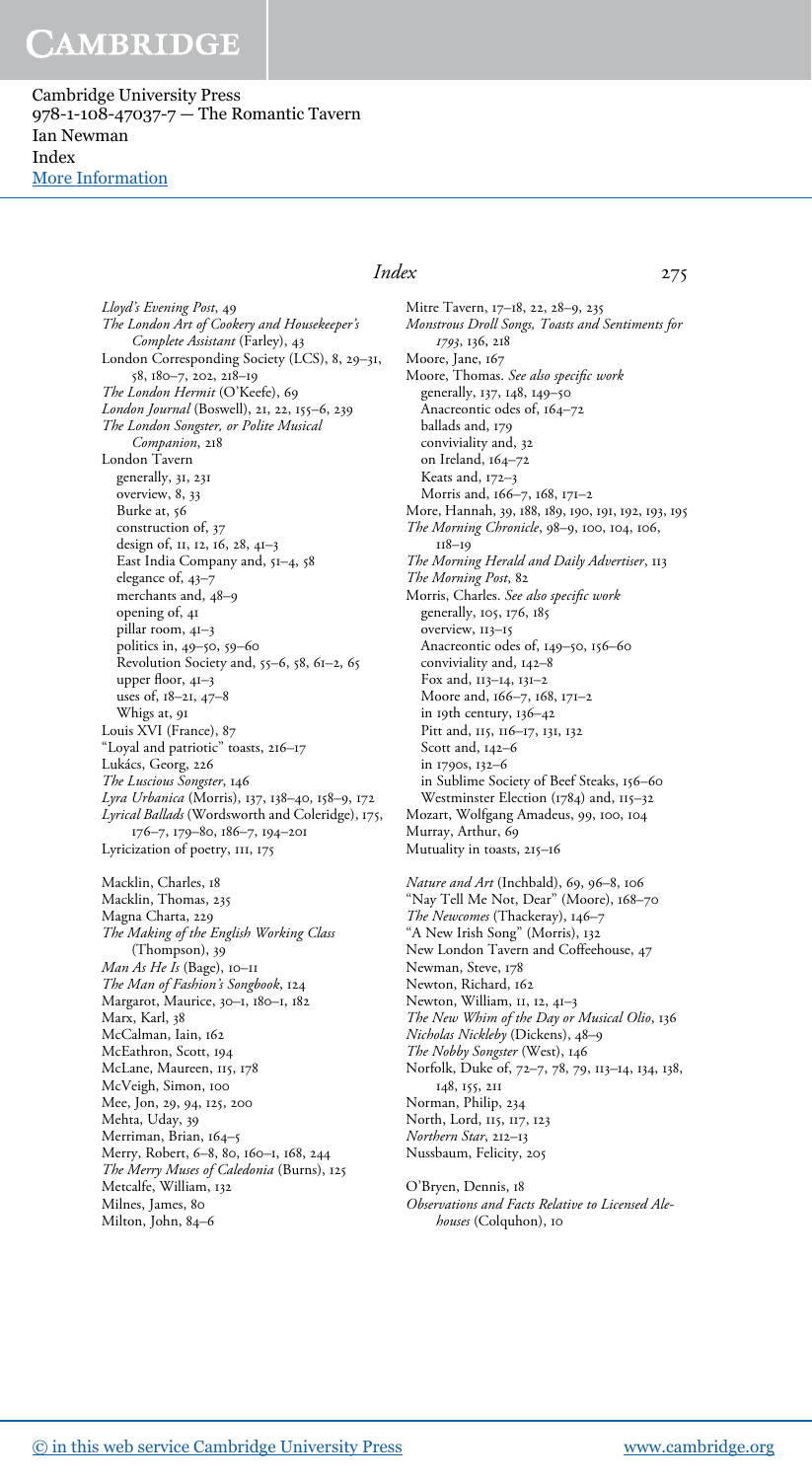Cambridge University Press 978-1-108-47037-7 — The Romantic Tavern Ian Newman Index [More Information](www.cambridge.org/9781108470377)

> *Lloyd*'*s Evening Post*, 49 *The London Art of Cookery and Housekeeper*'*s Complete Assistant* (Farley), 43 London Corresponding Society (LCS), 8, 29–31, 58, 180–7, 202, 218–19 *The London Hermit* (O'Keefe), 69 *London Journal* (Boswell), 21, 22, 155–6, 239 *The London Songster, or Polite Musical Companion*, 218 London Tavern generally, 31, 231 overview, 8, 33 Burke at, 56 construction of, 37 design of, 11, 12, 16, 28, 41–3 East India Company and, 51–4, 58 elegance of,  $43-\frac{1}{7}$ merchants and, 48–9 opening of, 41 pillar room, 41–3 politics in, 49–50, 59–60 Revolution Society and, 55–6, 58, 61–2, 65 upper floor, 41–3 uses of, 18–21, 47–8 Whigs at, 91 Louis XVI (France), 87 "Loyal and patriotic" toasts, 216–17 Lukács, Georg, 226 *The Luscious Songster*, 146 *Lyra Urbanica* (Morris), 137, 138–40, 158–9, 172 *Lyrical Ballads* (Wordsworth and Coleridge), 175, 176–7, 179–80, 186–7, 194–201 Lyricization of poetry, 111, 175

Macklin, Charles, 18 Macklin, Thomas, 235 Magna Charta, 229 *The Making of the English Working Class* (Thompson), 39 *Man As He Is* (Bage), 10–11 *The Man of Fashion*'*s Songbook*, 124 Margarot, Maurice, 30–1, 180–1, 182 Marx, Karl, 38 McCalman, Iain, 162 McEathron, Scott, 194 McLane, Maureen, 115, 178 McVeigh, Simon, 100 Mee, Jon, 29, 94, 125, 200 Mehta, Uday, 39 Merriman, Brian, 164–5 Merry, Robert, 6–8, 80, 160–1, 168, 244 *The Merry Muses of Caledonia* (Burns), 125 Metcalfe, William, 132 Milnes, James, 80 Milton, John, 84–6

### *Index* 275

Mitre Tavern, 17–18, 22, 28–9, 235 *Monstrous Droll Songs, Toasts and Sentiments for* 1793, 136, 218 Moore, Jane, 167 Moore, Thomas. *See also speci*fi*c work* generally, 137, 148, 149–50 Anacreontic odes of, 164–72 ballads and, 179 conviviality and, 32 on Ireland, 164–72 Keats and, 172–3 Morris and, 166–7, 168, 171–2 More, Hannah, 39, 188, 189, 190, 191, 192, 193, 195 *The Morning Chronicle*, 98–9, 100, 104, 106, 118–19 *The Morning Herald and Daily Advertiser*, 113 *The Morning Post*, 82 Morris, Charles. *See also speci*fi*c work* generally, 105, 176, 185 overview, 113–15 Anacreontic odes of, 149–50, 156–60 conviviality and, 142–8 Fox and, 113–14, 131–2 Moore and, 166–7, 168, 171–2 in 19th century, 136–42 Pitt and, 115, 116-17, 131, 132 Scott and, 142–6 in 1790s, 132–6 in Sublime Society of Beef Steaks, 156–60 Westminster Election (1784) and, 115–32 Mozart, Wolfgang Amadeus, 99, 100, 104 Murray, Arthur, 69 Mutuality in toasts, 215–16

*Nature and Art* (Inchbald), 69, 96–8, 106 "Nay Tell Me Not, Dear" (Moore), 168–70 *The Newcomes* (Thackeray), 146–7 "A New Irish Song" (Morris), 132 New London Tavern and Coffeehouse, 47 Newman, Steve, 178 Newton, Richard, 162 Newton, William, 11, 12, 41–3 *The New Whim of the Day or Musical Olio*, 136 *Nicholas Nickleby* (Dickens), 48–9 *The Nobby Songster* (West), 146 Norfolk, Duke of, 72–7, 78, 79, 113–14, 134, 138, 148, 155, 211 Norman, Philip, 234 North, Lord, 115, 117, 123 *Northern Star*, 212–13 Nussbaum, Felicity, 205

O'Bryen, Dennis, 18 *Observations and Facts Relative to Licensed Alehouses* (Colquhon), 10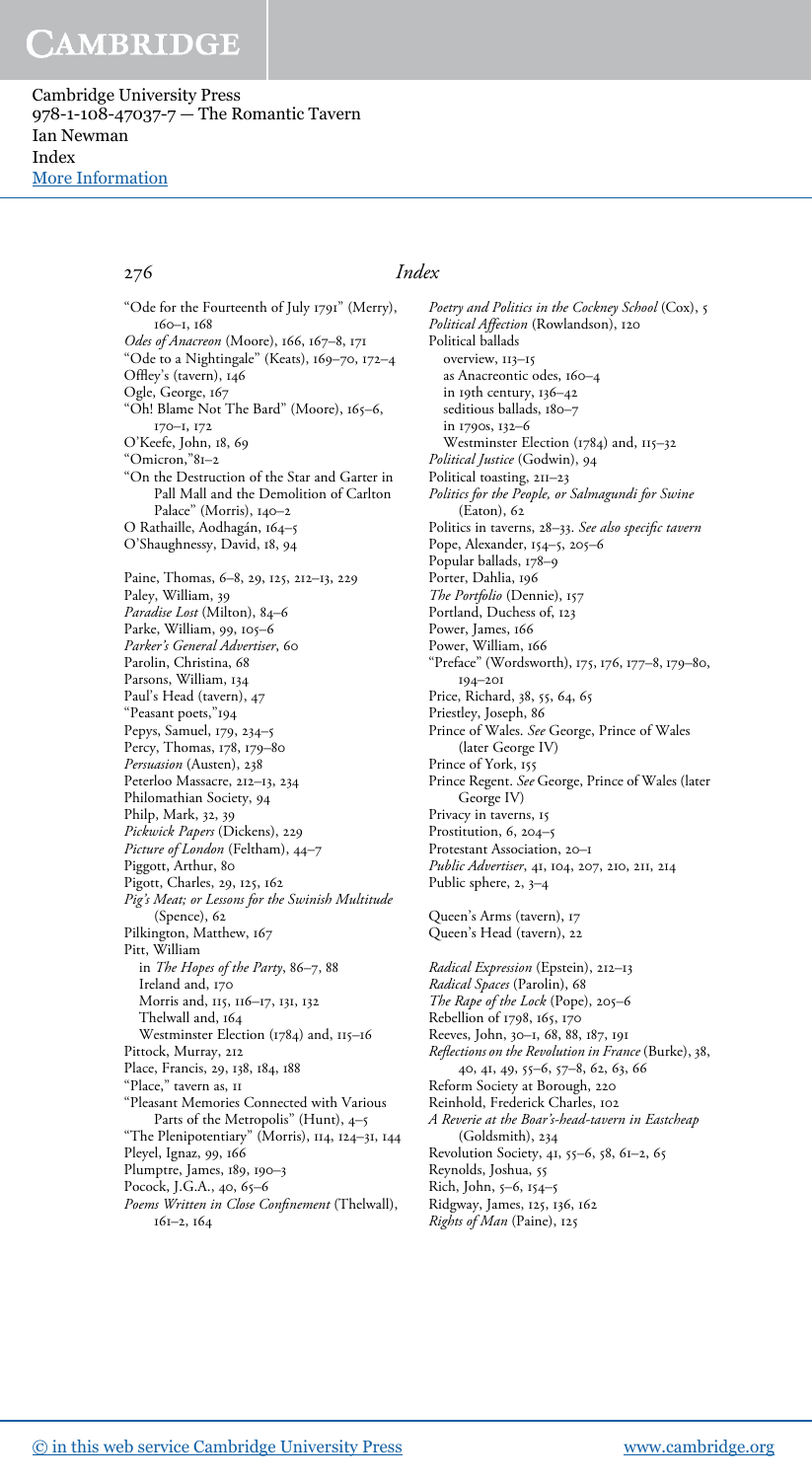Cambridge University Press 978-1-108-47037-7 — The Romantic Tavern Ian Newman Index [More Information](www.cambridge.org/9781108470377)

"Ode for the Fourteenth of July 1791" (Merry), 160–1, 168 *Odes of Anacreon* (Moore), 166, 167–8, 171 "Ode to a Nightingale" (Keats), 169–70, 172–4 Offley's (tavern), 146 Ogle, George, 167 "Oh! Blame Not The Bard" (Moore), 165–6, 170–1, 172 O'Keefe, John, 18, 69 "Omicron,"81–2 "On the Destruction of the Star and Garter in Pall Mall and the Demolition of Carlton Palace" (Morris), 140–2 O Rathaille, Aodhagán, 164–5 O'Shaughnessy, David, 18, 94 Paine, Thomas, 6–8, 29, 125, 212–13, 229 Paley, William, 39 *Paradise Lost* (Milton), 84–6 Parke, William, 99, 105-6 *Parker*'*s General Advertiser*, 60 Parolin, Christina, 68 Parsons, William, 134 Paul's Head (tavern), 47 "Peasant poets,"194 Pepys, Samuel, 179, 234–5 Percy, Thomas, 178, 179–80 *Persuasion* (Austen), 238 Peterloo Massacre, 212–13, 234 Philomathian Society, 94 Philp, Mark, 32, 39 *Pickwick Papers* (Dickens), 229 *Picture of London* (Feltham), 44–7 Piggott, Arthur, 80 Pigott, Charles, 29, 125, 162 *Pig*'*s Meat; or Lessons for the Swinish Multitude* (Spence), 62 Pilkington, Matthew, 167 Pitt, William in *The Hopes of the Party*, 86–7, 88 Ireland and, 170 Morris and, 115, 116–17, 131, 132 Thelwall and, 164 Westminster Election (1784) and, 115–16 Pittock, Murray, 212 Place, Francis, 29, 138, 184, 188 "Place," tavern as, 11 "Pleasant Memories Connected with Various Parts of the Metropolis" (Hunt), 4–5 "The Plenipotentiary" (Morris), 114, 124–31, 144 Pleyel, Ignaz, 99, 166 Plumptre, James, 189, 190–3 Pocock, J.G.A., 40, 65-6 *Poems Written in Close Con*fi*nement* (Thelwall), 161–2, 164

### 276 *Index*

*Poetry and Politics in the Cockney School* (Cox), 5 *Political Affection* (Rowlandson), 120 Political ballads overview, 113–15 as Anacreontic odes, 160–4 in 19th century, 136–42 seditious ballads, 180-7 in 1790s, 132–6 Westminster Election (1784) and, 115-32 *Political Justice* (Godwin), 94 Political toasting, 211–23 *Politics for the People, or Salmagundi for Swine* (Eaton), 62 Politics in taverns, 28–33. *See also speci*fi*c tavern* Pope, Alexander, 154–5, 205–6 Popular ballads, 178-9 Porter, Dahlia, 196 *The Portfolio* (Dennie), 157 Portland, Duchess of, 123 Power, James, 166 Power, William, 166 "Preface" (Wordsworth), 175, 176, 177–8, 179–80, 194–201 Price, Richard, 38, 55, 64, 65 Priestley, Joseph, 86 Prince of Wales. *See* George, Prince of Wales (later George IV) Prince of York, 155 Prince Regent. *See* George, Prince of Wales (later George IV) Privacy in taverns, 15 Prostitution, 6, 204–5 Protestant Association, 20–1 *Public Advertiser*, 41, 104, 207, 210, 211, 214 Public sphere, 2, 3-4 Queen's Arms (tavern), 17 Queen's Head (tavern), 22 *Radical Expression* (Epstein), 212–13 *Radical Spaces* (Parolin), 68 *The Rape of the Lock* (Pope), 205–6 Rebellion of 1798, 165, 170 Reeves, John, 30–1, 68, 88, 187, 191 *Re*fl*ections on the Revolution in France* (Burke), 38, 40, 41, 49, 55–6, 57–8, 62, 63, 66 Reform Society at Borough, 220 Reinhold, Frederick Charles, 102 *A Reverie at the Boar*'*s-head-tavern in Eastcheap* (Goldsmith), 234 Revolution Society, 41, 55–6, 58, 61–2, 65 Reynolds, Joshua, 55 Rich, John, 5–6, 154–5 Ridgway, James, 125, 136, 162

*Rights of Man* (Paine), 125

[© in this web service Cambridge University Press](www.cambridge.org) www.cambridge.org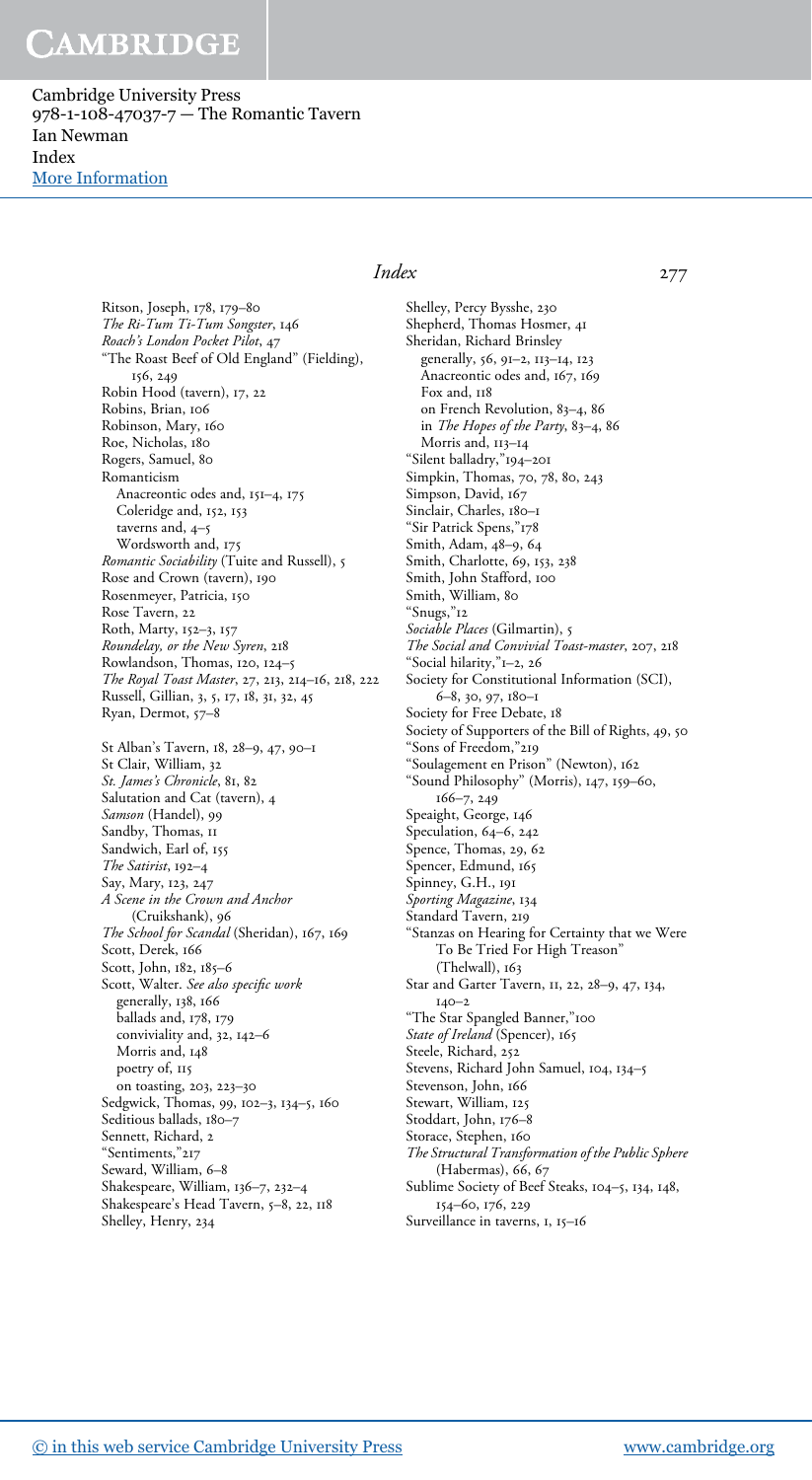Cambridge University Press 978-1-108-47037-7 — The Romantic Tavern Ian Newman Index [More Information](www.cambridge.org/9781108470377)

> Ritson, Joseph, 178, 179–80 *The Ri-Tum Ti-Tum Songster*, 146 *Roach*'*s London Pocket Pilot*, 47 "The Roast Beef of Old England" (Fielding), 156, 249 Robin Hood (tavern), 17, 22 Robins, Brian, 106 Robinson, Mary, 160 Roe, Nicholas, 180 Rogers, Samuel, 80 Romanticism Anacreontic odes and, 151–4, 175 Coleridge and, 152, 153 taverns and, 4–5 Wordsworth and, 175 *Romantic Sociability* (Tuite and Russell), 5 Rose and Crown (tavern), 190 Rosenmeyer, Patricia, 150 Rose Tavern, 22 Roth, Marty, 152–3, 157 *Roundelay, or the New Syren*, 218 Rowlandson, Thomas, 120, 124–5 *The Royal Toast Master*, 27, 213, 214–16, 218, 222 Russell, Gillian, 3, 5, 17, 18, 31, 32, 45 Ryan, Dermot, 57–8 St Alban's Tavern, 18, 28–9, 47, 90–1 St Clair, William, 32 *St. James*'*s Chronicle*, 81, 82 Salutation and Cat (tavern), 4 *Samson* (Handel), 99 Sandby, Thomas, II Sandwich, Earl of, 155 *The Satirist*, 192–4 Say, Mary, 123, 247 *A Scene in the Crown and Anchor* (Cruikshank), 96 *The School for Scandal* (Sheridan), 167, 169 Scott, Derek, 166 Scott, John, 182, 185–6 Scott, Walter. *See also speci*fi*c work* generally, 138, 166 ballads and, 178, 179 conviviality and, 32, 142–6 Morris and, 148 poetry of, 115 on toasting, 203, 223–30 Sedgwick, Thomas, 99, 102–3, 134–5, 160 Seditious ballads, 180-7 Sennett, Richard, 2 "Sentiments,"217 Seward, William, 6–8

#### *Index* 277

Shelley, Percy Bysshe, 230 Shepherd, Thomas Hosmer, 41 Sheridan, Richard Brinsley generally, 56, 91–2, 113–14, 123 Anacreontic odes and, 167, 169 Fox and, 118 on French Revolution, 83–4, 86 in *The Hopes of the Party*, 83–4, 86 Morris and, 113-14 "Silent balladry,"194–201 Simpkin, Thomas, 70, 78, 80, 243 Simpson, David, 167 Sinclair, Charles, 180–1 "Sir Patrick Spens,"178 Smith, Adam, 48–9, 64 Smith, Charlotte, 69, 153, 238 Smith, John Stafford, 100 Smith, William, 80 "Snugs,"12 *Sociable Places* (Gilmartin), 5 *The Social and Convivial Toast-master*, 207, 218 "Social hilarity,"1–2, 26 Society for Constitutional Information (SCI), 6–8, 30, 97, 180–1 Society for Free Debate, 18 Society of Supporters of the Bill of Rights, 49, 50 "Sons of Freedom,"219 "Soulagement en Prison" (Newton), 162 "Sound Philosophy" (Morris), 147, 159–60, 166–7, 249 Speaight, George, 146 Speculation, 64–6, 242 Spence, Thomas, 29, 62 Spencer, Edmund, 165 Spinney, G.H., 191 *Sporting Magazine*, 134 Standard Tavern, 219 "Stanzas on Hearing for Certainty that we Were To Be Tried For High Treason" (Thelwall), 163 Star and Garter Tavern, 11, 22, 28–9, 47, 134, 140–2 "The Star Spangled Banner,"100 *State of Ireland* (Spencer), 165 Steele, Richard, 252 Stevens, Richard John Samuel, 104, 134–5 Stevenson, John, 166 Stewart, William, 125 Stoddart, John, 176–8 Storace, Stephen, 160 *The Structural Transformation of the Public Sphere* (Habermas), 66, 67 Sublime Society of Beef Steaks, 104–5, 134, 148, 154–60, 176, 229 Surveillance in taverns, 1, 15–16

Shakespeare, William, 136–7, 232–4 Shakespeare's Head Tavern, 5-8, 22, 118

Shelley, Henry, 234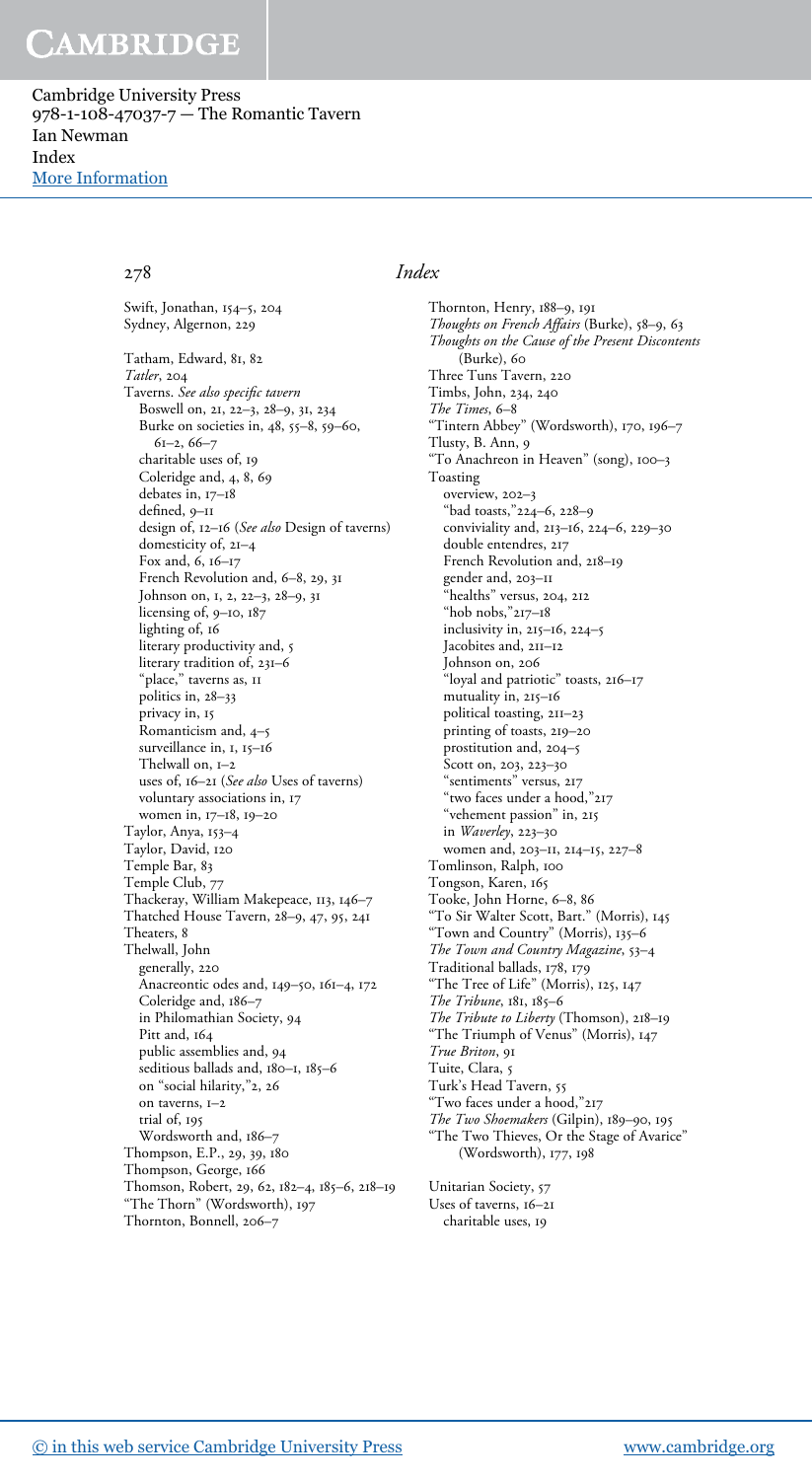Cambridge University Press 978-1-108-47037-7 — The Romantic Tavern Ian Newman Index [More Information](www.cambridge.org/9781108470377)

Swift, Jonathan, 154–5, 204 Sydney, Algernon, 229 Tatham, Edward, 81, 82 *Tatler*, 204 Taverns. *See also speci*fi*c tavern* Boswell on, 21, 22–3, 28–9, 31, 234 Burke on societies in, 48, 55–8, 59–60, 61–2, 66–7 charitable uses of, 19 Coleridge and, 4, 8, 69 debates in, 17–18 defined, 9–11 design of, 12–16 (*See also* Design of taverns) domesticity of, 21–4 Fox and, 6, 16–17 French Revolution and, 6–8, 29, 31 Johnson on, 1, 2, 22–3, 28–9, 31 licensing of, 9–10, 187 lighting of, 16 literary productivity and, 5 literary tradition of, 231–6 "place," taverns as, 11 politics in, 28–33 privacy in, 15 Romanticism and, 4–5 surveillance in, 1, 15-16 Thelwall on, 1–2 uses of, 16–21 (*See also* Uses of taverns) voluntary associations in, 17 women in, 17–18, 19–20 Taylor, Anya, 153–4 Taylor, David, 120 Temple Bar, 83 Temple Club, 77 Thackeray, William Makepeace, 113, 146–7 Thatched House Tavern, 28–9, 47, 95, 241 Theaters, 8 Thelwall, John generally, 220 Anacreontic odes and, 149–50, 161–4, 172 Coleridge and, 186–7 in Philomathian Society, 94 Pitt and, 164 public assemblies and, 94 seditious ballads and, 180-1, 185-6 on "social hilarity,"2, 26 on taverns, 1–2 trial of, 195 Wordsworth and, 186–7 Thompson, E.P., 29, 39, 180 Thompson, George, 166 Thomson, Robert, 29, 62, 182–4, 185–6, 218–19 "The Thorn" (Wordsworth), 197 Thornton, Bonnell, 206–7

### 278 *Index*

Thornton, Henry, 188–9, 191 *Thoughts on French Affairs* (Burke), 58–9, 63 *Thoughts on the Cause of the Present Discontents* (Burke), 60 Three Tuns Tavern, 220 Timbs, John, 234, 240 *The Times*, 6–8 "Tintern Abbey" (Wordsworth), 170, 196–7 Tlusty, B. Ann, 9 "To Anachreon in Heaven" (song), 100–3 Toasting overview, 202–3 "bad toasts,"224–6, 228–9 conviviality and, 213–16, 224–6, 229–30 double entendres, 217 French Revolution and, 218–19 gender and, 203–11 "healths" versus, 204, 212 "hob nobs,"217–18 inclusivity in, 215–16, 224–5 Jacobites and, 211-12 Johnson on, 206 "loyal and patriotic" toasts, 216–17 mutuality in, 215–16 political toasting, 211–23 printing of toasts, 219–20 prostitution and, 204–5 Scott on, 203, 223–30 "sentiments" versus, 217 "two faces under a hood,"217 "vehement passion" in, 215 in *Waverley*, 223–30 women and, 203–11, 214–15, 227–8 Tomlinson, Ralph, 100 Tongson, Karen, 165 Tooke, John Horne, 6–8, 86 To Sir Walter Scott, Bart." (Morris), 145 "Town and Country" (Morris), 135–6 *The Town and Country Magazine*, 53–4 Traditional ballads, 178, 179 "The Tree of Life" (Morris), 125, 147 *The Tribune*, 181, 185–6 *The Tribute to Liberty* (Thomson), 218–19 "The Triumph of Venus" (Morris), 147 *True Briton*, 91 Tuite, Clara, 5 Turk's Head Tavern, 55 "Two faces under a hood,"217 *The Two Shoemakers* (Gilpin), 189–90, 195 "The Two Thieves, Or the Stage of Avarice" (Wordsworth), 177, 198 Unitarian Society, 57 Uses of taverns, 16–21 charitable uses, 19